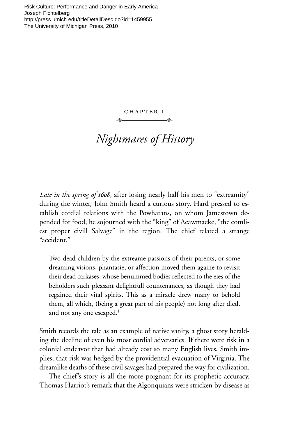[Risk Culture: Performance and Danger in Early America](http://press.umich.edu/titleDetailDesc.do?id=1459955)  Joseph Fichtelberg http://press.umich.edu/titleDetailDesc.do?id=1459955 The University of Michigan Press, 2010

# **- 20** CHAPTER I

 $\rightarrow$ 

# *Nightmares of History*

*Late in the spring of 1608,* after losing nearly half his men to "extreamity" during the winter, John Smith heard a curious story. Hard pressed to establish cordial relations with the Powhatans, on whom Jamestown depended for food, he sojourned with the "king" of Acawmacke, "the comliest proper civill Salvage" in the region. The chief related a strange "accident."

Two dead children by the extreame passions of their parents, or some dreaming visions, phantasie, or affection moved them againe to revisit their dead carkases, whose benummed bodies reflected to the eies of the beholders such pleasant delightfull countenances, as though they had regained their vital spirits. This as a miracle drew many to behold them, all which, (being a great part of his people) not long after died, and not any one escaped.<sup>1</sup>

Smith records the tale as an example of native vanity, a ghost story heralding the decline of even his most cordial adversaries. If there were risk in a colonial endeavor that had already cost so many English lives, Smith implies, that risk was hedged by the providential evacuation of Virginia. The dreamlike deaths of these civil savages had prepared the way for civilization.

The chief's story is all the more poignant for its prophetic accuracy. Thomas Harriot's remark that the Algonquians were stricken by disease as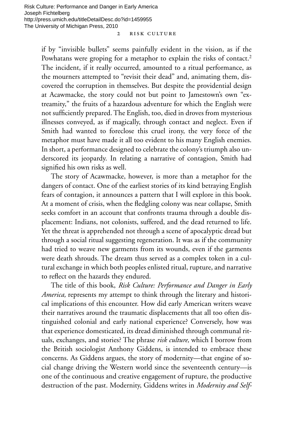if by "invisible bullets" seems painfully evident in the vision, as if the Powhatans were groping for a metaphor to explain the risks of contact.<sup>2</sup> The incident, if it really occurred, amounted to a ritual performance, as the mourners attempted to "revisit their dead" and, animating them, discovered the corruption in themselves. But despite the providential design at Acawmacke, the story could not but point to Jamestown's own "extreamity," the fruits of a hazardous adventure for which the English were not sufficiently prepared. The English, too, died in droves from mysterious illnesses conveyed, as if magically, through contact and neglect. Even if Smith had wanted to foreclose this cruel irony, the very force of the metaphor must have made it all too evident to his many English enemies. In short, a performance designed to celebrate the colony's triumph also underscored its jeopardy. In relating a narrative of contagion, Smith had signified his own risks as well.

The story of Acawmacke, however, is more than a metaphor for the dangers of contact. One of the earliest stories of its kind betraying English fears of contagion, it announces a pattern that I will explore in this book. At a moment of crisis, when the fledgling colony was near collapse, Smith seeks comfort in an account that confronts trauma through a double displacement: Indians, not colonists, suffered, and the dead returned to life. Yet the threat is apprehended not through a scene of apocalyptic dread but through a social ritual suggesting regeneration. It was as if the community had tried to weave new garments from its wounds, even if the garments were death shrouds. The dream thus served as a complex token in a cultural exchange in which both peoples enlisted ritual, rupture, and narrative to reflect on the hazards they endured.

The title of this book, *Risk Culture: Performance and Danger in Early America,* represents my attempt to think through the literary and historical implications of this encounter. How did early American writers weave their narratives around the traumatic displacements that all too often distinguished colonial and early national experience? Conversely, how was that experience domesticated, its dread diminished through communal rituals, exchanges, and stories? The phrase *risk culture,* which I borrow from the British sociologist Anthony Giddens, is intended to embrace these concerns. As Giddens argues, the story of modernity—that engine of social change driving the Western world since the seventeenth century—is one of the continuous and creative engagement of rupture, the productive destruction of the past. Modernity, Giddens writes in *Modernity and Self-*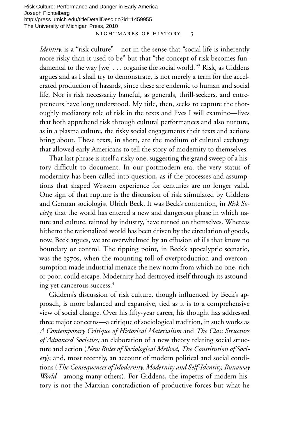nightmares of history 3 Risk Culture: Performance and Danger in Early America Joseph Fichtelberg http://press.umich.edu/titleDetailDesc.do?id=1459955 The University of Michigan Press, 2010

*Identity*, is a "risk culture"—not in the sense that "social life is inherently more risky than it used to be" but that "the concept of risk becomes fundamental to the way [we] . . . organise the social world."<sup>3</sup> Risk, as Giddens argues and as I shall try to demonstrate, is not merely a term for the accelerated production of hazards, since these are endemic to human and social life. Nor is risk necessarily baneful, as generals, thrill-seekers, and entrepreneurs have long understood. My title, then, seeks to capture the thoroughly mediatory role of risk in the texts and lives I will examine—lives that both apprehend risk through cultural performances and also nurture, as in a plasma culture, the risky social engagements their texts and actions bring about. These texts, in short, are the medium of cultural exchange that allowed early Americans to tell the story of modernity to themselves.

That last phrase is itself a risky one, suggesting the grand sweep of a history difficult to document. In our postmodern era, the very status of modernity has been called into question, as if the processes and assumptions that shaped Western experience for centuries are no longer valid. One sign of that rupture is the discussion of risk stimulated by Giddens and German sociologist Ulrich Beck. It was Beck's contention, in *Risk Society,* that the world has entered a new and dangerous phase in which nature and culture, tainted by industry, have turned on themselves. Whereas hitherto the rationalized world has been driven by the circulation of goods, now, Beck argues, we are overwhelmed by an effusion of ills that know no boundary or control. The tipping point, in Beck's apocalyptic scenario, was the 1970s, when the mounting toll of overproduction and overconsumption made industrial menace the new norm from which no one, rich or poor, could escape. Modernity had destroyed itself through its astounding yet cancerous success.<sup>4</sup>

Giddens's discussion of risk culture, though influenced by Beck's approach, is more balanced and expansive, tied as it is to a comprehensive view of social change. Over his fifty-year career, his thought has addressed three major concerns—a critique of sociological tradition, in such works as *A Contemporary Critique of Historical Materialism* and *The Class Structure of Advanced Societies;* an elaboration of a new theory relating social structure and action (*New Rules of Sociological Method, The Constitution of Soci*ety); and, most recently, an account of modern political and social conditions (*The Consequences of Modernity, Modernity and Self-Identity, Runaway World*—among many others). For Giddens, the impetus of modern history is not the Marxian contradiction of productive forces but what he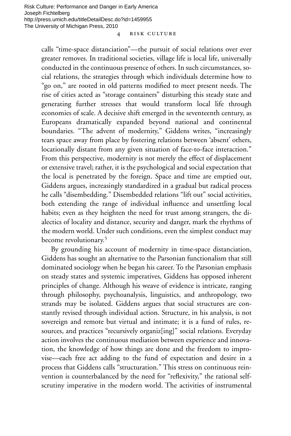calls "time-space distanciation"—the pursuit of social relations over ever greater removes. In traditional societies, village life is local life, universally conducted in the continuous presence of others. In such circumstances, social relations, the strategies through which individuals determine how to "go on," are rooted in old patterns modified to meet present needs. The rise of cities acted as "storage containers" disturbing this steady state and generating further stresses that would transform local life through economies of scale. A decisive shift emerged in the seventeenth century, as Europeans dramatically expanded beyond national and continental boundaries. "The advent of modernity," Giddens writes, "increasingly tears space away from place by fostering relations between 'absent' others, locationally distant from any given situation of face-to-face interaction." From this perspective, modernity is not merely the effect of displacement or extensive travel; rather, it is the psychological and social expectation that the local is penetrated by the foreign. Space and time are emptied out, Giddens argues, increasingly standardized in a gradual but radical process he calls "disembedding." Disembedded relations "lift out" social activities, both extending the range of individual influence and unsettling local habits; even as they heighten the need for trust among strangers, the dialectics of locality and distance, security and danger, mark the rhythms of the modern world. Under such conditions, even the simplest conduct may become revolutionary.<sup>5</sup>

By grounding his account of modernity in time-space distanciation, Giddens has sought an alternative to the Parsonian functionalism that still dominated sociology when he began his career. To the Parsonian emphasis on steady states and systemic imperatives, Giddens has opposed inherent principles of change. Although his weave of evidence is intricate, ranging through philosophy, psychoanalysis, linguistics, and anthropology, two strands may be isolated. Giddens argues that social structures are constantly revised through individual action. Structure, in his analysis, is not sovereign and remote but virtual and intimate; it is a fund of rules, resources, and practices "recursively organiz[ing]" social relations. Everyday action involves the continuous mediation between experience and innovation, the knowledge of how things are done and the freedom to improvise—each free act adding to the fund of expectation and desire in a process that Giddens calls "structuration." This stress on continuous reinvention is counterbalanced by the need for "reflexivity," the rational selfscrutiny imperative in the modern world. The activities of instrumental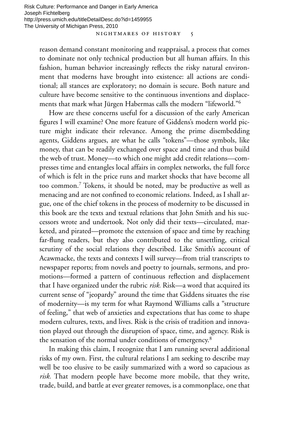reason demand constant monitoring and reappraisal, a process that comes to dominate not only technical production but all human affairs. In this fashion, human behavior increasingly reflects the risky natural environment that moderns have brought into existence: all actions are conditional; all stances are exploratory; no domain is secure. Both nature and culture have become sensitive to the continuous inventions and displacements that mark what Jürgen Habermas calls the modern "lifeworld."<sup>6</sup>

How are these concerns useful for a discussion of the early American figures I will examine? One more feature of Giddens's modern world picture might indicate their relevance. Among the prime disembedding agents, Giddens argues, are what he calls "tokens"—those symbols, like money, that can be readily exchanged over space and time and thus build the web of trust. Money—to which one might add credit relations—compresses time and entangles local affairs in complex networks, the full force of which is felt in the price runs and market shocks that have become all too common.<sup>7</sup> Tokens, it should be noted, may be productive as well as menacing and are not confined to economic relations. Indeed, as I shall argue, one of the chief tokens in the process of modernity to be discussed in this book are the texts and textual relations that John Smith and his successors wrote and undertook. Not only did their texts—circulated, marketed, and pirated—promote the extension of space and time by reaching far-flung readers, but they also contributed to the unsettling, critical scrutiny of the social relations they described. Like Smith's account of Acawmacke, the texts and contexts I will survey—from trial transcripts to newspaper reports; from novels and poetry to journals, sermons, and promotions—formed a pattern of continuous reflection and displacement that I have organized under the rubric *risk.* Risk—a word that acquired its current sense of "jeopardy" around the time that Giddens situates the rise of modernity—is my term for what Raymond Williams calls a "structure of feeling," that web of anxieties and expectations that has come to shape modern cultures, texts, and lives. Risk is the crisis of tradition and innovation played out through the disruption of space, time, and agency. Risk is the sensation of the normal under conditions of emergency.<sup>8</sup>

In making this claim, I recognize that I am running several additional risks of my own. First, the cultural relations I am seeking to describe may well be too elusive to be easily summarized with a word so capacious as *risk.* That modern people have become more mobile, that they write, trade, build, and battle at ever greater removes, is a commonplace, one that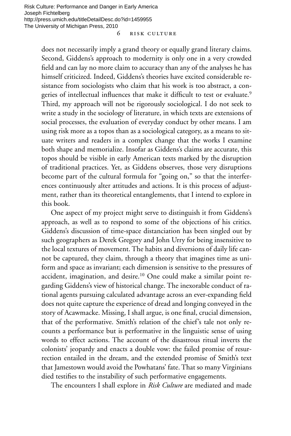does not necessarily imply a grand theory or equally grand literary claims. Second, Giddens's approach to modernity is only one in a very crowded field and can lay no more claim to accuracy than any of the analyses he has himself criticized. Indeed, Giddens's theories have excited considerable resistance from sociologists who claim that his work is too abstract, a congeries of intellectual influences that make it difficult to test or evaluate.<sup>9</sup> Third, my approach will not be rigorously sociological. I do not seek to write a study in the sociology of literature, in which texts are extensions of social processes, the evaluation of everyday conduct by other means. I am using risk more as a topos than as a sociological category, as a means to situate writers and readers in a complex change that the works I examine both shape and memorialize. Insofar as Giddens's claims are accurate, this topos should be visible in early American texts marked by the disruption of traditional practices. Yet, as Giddens observes, those very disruptions become part of the cultural formula for "going on," so that the interferences continuously alter attitudes and actions. It is this process of adjustment, rather than its theoretical entanglements, that I intend to explore in this book.

One aspect of my project might serve to distinguish it from Giddens's approach, as well as to respond to some of the objections of his critics. Giddens's discussion of time-space distanciation has been singled out by such geographers as Derek Gregory and John Urry for being insensitive to the local textures of movement. The habits and diversions of daily life cannot be captured, they claim, through a theory that imagines time as uniform and space as invariant; each dimension is sensitive to the pressures of accident, imagination, and desire.<sup>10</sup> One could make a similar point regarding Giddens's view of historical change. The inexorable conduct of rational agents pursuing calculated advantage across an ever-expanding field does not quite capture the experience of dread and longing conveyed in the story of Acawmacke. Missing, I shall argue, is one final, crucial dimension, that of the performative. Smith's relation of the chief's tale not only recounts a performance but is performative in the linguistic sense of using words to effect actions. The account of the disastrous ritual inverts the colonists' jeopardy and enacts a double vow: the failed promise of resurrection entailed in the dream, and the extended promise of Smith's text that Jamestown would avoid the Powhatans' fate. That so many Virginians died testifies to the instability of such performative engagements.

The encounters I shall explore in *Risk Culture* are mediated and made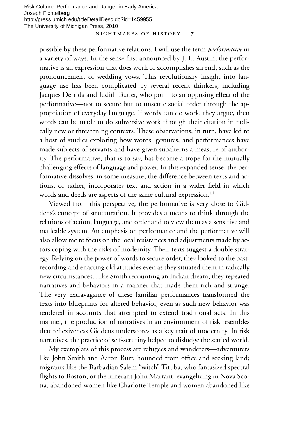nightmares of history 7 Risk Culture: Performance and Danger in Early America Joseph Fichtelberg http://press.umich.edu/titleDetailDesc.do?id=1459955 The University of Michigan Press, 2010

possible by these performative relations. I will use the term *performative* in a variety of ways. In the sense first announced by J. L. Austin, the performative is an expression that does work or accomplishes an end, such as the pronouncement of wedding vows. This revolutionary insight into language use has been complicated by several recent thinkers, including Jacques Derrida and Judith Butler, who point to an opposing effect of the performative—not to secure but to unsettle social order through the appropriation of everyday language. If words can do work, they argue, then words can be made to do subversive work through their citation in radically new or threatening contexts. These observations, in turn, have led to a host of studies exploring how words, gestures, and performances have made subjects of servants and have given subalterns a measure of authority. The performative, that is to say, has become a trope for the mutually challenging effects of language and power. In this expanded sense, the performative dissolves, in some measure, the difference between texts and actions, or rather, incorporates text and action in a wider field in which words and deeds are aspects of the same cultural expression.<sup>11</sup>

Viewed from this perspective, the performative is very close to Giddens's concept of structuration. It provides a means to think through the relations of action, language, and order and to view them as a sensitive and malleable system. An emphasis on performance and the performative will also allow me to focus on the local resistances and adjustments made by actors coping with the risks of modernity. Their texts suggest a double strategy. Relying on the power of words to secure order, they looked to the past, recording and enacting old attitudes even as they situated them in radically new circumstances. Like Smith recounting an Indian dream, they repeated narratives and behaviors in a manner that made them rich and strange. The very extravagance of these familiar performances transformed the texts into blueprints for altered behavior, even as such new behavior was rendered in accounts that attempted to extend traditional acts. In this manner, the production of narratives in an environment of risk resembles that reflexiveness Giddens underscores as a key trait of modernity. In risk narratives, the practice of self-scrutiny helped to dislodge the settled world.

My exemplars of this process are refugees and wanderers—adventurers like John Smith and Aaron Burr, hounded from office and seeking land; migrants like the Barbadian Salem "witch" Tituba, who fantasized spectral flights to Boston, or the itinerant John Marrant, evangelizing in Nova Scotia; abandoned women like Charlotte Temple and women abandoned like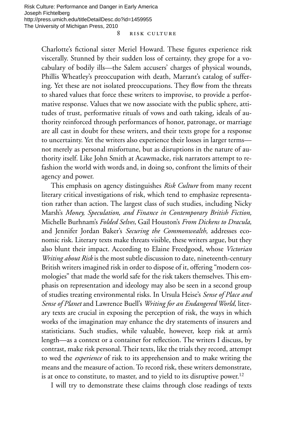Charlotte's fictional sister Meriel Howard. These figures experience risk viscerally. Stunned by their sudden loss of certainty, they grope for a vocabulary of bodily ills—the Salem accusers' charges of physical wounds, Phillis Wheatley's preoccupation with death, Marrant's catalog of suffering. Yet these are not isolated preoccupations. They flow from the threats to shared values that force these writers to improvise, to provide a performative response. Values that we now associate with the public sphere, attitudes of trust, performative rituals of vows and oath taking, ideals of authority reinforced through performances of honor, patronage, or marriage are all cast in doubt for these writers, and their texts grope for a response to uncertainty. Yet the writers also experience their losses in larger terms not merely as personal misfortune, but as disruptions in the nature of authority itself. Like John Smith at Acawmacke, risk narrators attempt to refashion the world with words and, in doing so, confront the limits of their agency and power.

This emphasis on agency distinguishes *Risk Culture* from many recent literary critical investigations of risk, which tend to emphasize representation rather than action. The largest class of such studies, including Nicky Marsh's *Money, Speculation, and Finance in Contemporary British Fiction,* Michelle Burhnam's *Folded Selves,* Gail Houston's *From Dickens to Dracula,* and Jennifer Jordan Baker's *Securing the Commonwealth,* addresses economic risk. Literary texts make threats visible, these writers argue, but they also blunt their impact. According to Elaine Freedgood, whose *Victorian Writing about Risk* is the most subtle discussion to date, nineteenth-century British writers imagined risk in order to dispose of it, offering "modern cosmologies" that made the world safe for the risk takers themselves. This emphasis on representation and ideology may also be seen in a second group of studies treating environmental risks. In Ursula Heise's *Sense of Place and Sense of Planet* and Lawrence Buell's *Writing for an Endangered World,* literary texts are crucial in exposing the perception of risk, the ways in which works of the imagination may enhance the dry statements of insurers and statisticians. Such studies, while valuable, however, keep risk at arm's length—as a context or a container for reflection. The writers I discuss, by contrast, make risk personal. Their texts, like the trials they record, attempt to wed the *experience* of risk to its apprehension and to make writing the means and the measure of action. To record risk, these writers demonstrate, is at once to constitute, to master, and to yield to its disruptive power.<sup>12</sup>

I will try to demonstrate these claims through close readings of texts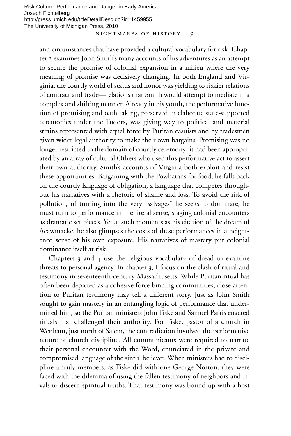nightmares of history 9 Risk Culture: Performance and Danger in Early America Joseph Fichtelberg http://press.umich.edu/titleDetailDesc.do?id=1459955 The University of Michigan Press, 2010

and circumstances that have provided a cultural vocabulary for risk. Chapter 2 examines John Smith's many accounts of his adventures as an attempt to secure the promise of colonial expansion in a milieu where the very meaning of promise was decisively changing. In both England and Virginia, the courtly world of status and honor was yielding to riskier relations of contract and trade—relations that Smith would attempt to mediate in a complex and shifting manner. Already in his youth, the performative function of promising and oath taking, preserved in elaborate state-supported ceremonies under the Tudors, was giving way to political and material strains represented with equal force by Puritan casuists and by tradesmen given wider legal authority to make their own bargains. Promising was no longer restricted to the domain of courtly ceremony; it had been appropriated by an array of cultural Others who used this performative act to assert their own authority. Smith's accounts of Virginia both exploit and resist these opportunities. Bargaining with the Powhatans for food, he falls back on the courtly language of obligation, a language that competes throughout his narratives with a rhetoric of shame and loss. To avoid the risk of pollution, of turning into the very "salvages" he seeks to dominate, he must turn to performance in the literal sense, staging colonial encounters as dramatic set pieces. Yet at such moments as his citation of the dream of Acawmacke, he also glimpses the costs of these performances in a heightened sense of his own exposure. His narratives of mastery put colonial dominance itself at risk.

Chapters 3 and 4 use the religious vocabulary of dread to examine threats to personal agency. In chapter 3, I focus on the clash of ritual and testimony in seventeenth-century Massachusetts. While Puritan ritual has often been depicted as a cohesive force binding communities, close attention to Puritan testimony may tell a different story. Just as John Smith sought to gain mastery in an entangling logic of performance that undermined him, so the Puritan ministers John Fiske and Samuel Parris enacted rituals that challenged their authority. For Fiske, pastor of a church in Wenham, just north of Salem, the contradiction involved the performative nature of church discipline. All communicants were required to narrate their personal encounter with the Word, enunciated in the private and compromised language of the sinful believer. When ministers had to discipline unruly members, as Fiske did with one George Norton, they were faced with the dilemma of using the fallen testimony of neighbors and rivals to discern spiritual truths. That testimony was bound up with a host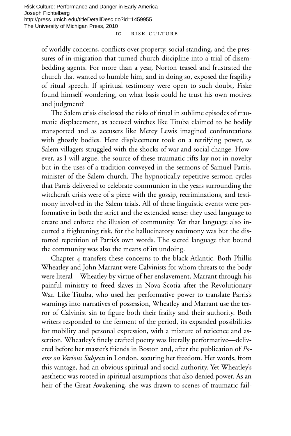of worldly concerns, conflicts over property, social standing, and the pressures of in-migration that turned church discipline into a trial of disembedding agents. For more than a year, Norton teased and frustrated the church that wanted to humble him, and in doing so, exposed the fragility of ritual speech. If spiritual testimony were open to such doubt, Fiske found himself wondering, on what basis could he trust his own motives and judgment?

The Salem crisis disclosed the risks of ritual in sublime episodes of traumatic displacement, as accused witches like Tituba claimed to be bodily transported and as accusers like Mercy Lewis imagined confrontations with ghostly bodies. Here displacement took on a terrifying power, as Salem villagers struggled with the shocks of war and social change. However, as I will argue, the source of these traumatic rifts lay not in novelty but in the uses of a tradition conveyed in the sermons of Samuel Parris, minister of the Salem church. The hypnotically repetitive sermon cycles that Parris delivered to celebrate communion in the years surrounding the witchcraft crisis were of a piece with the gossip, recriminations, and testimony involved in the Salem trials. All of these linguistic events were performative in both the strict and the extended sense: they used language to create and enforce the illusion of community. Yet that language also incurred a frightening risk, for the hallucinatory testimony was but the distorted repetition of Parris's own words. The sacred language that bound the community was also the means of its undoing.

Chapter 4 transfers these concerns to the black Atlantic. Both Phillis Wheatley and John Marrant were Calvinists for whom threats to the body were literal—Wheatley by virtue of her enslavement, Marrant through his painful ministry to freed slaves in Nova Scotia after the Revolutionary War. Like Tituba, who used her performative power to translate Parris's warnings into narratives of possession, Wheatley and Marrant use the terror of Calvinist sin to figure both their frailty and their authority. Both writers responded to the ferment of the period, its expanded possibilities for mobility and personal expression, with a mixture of reticence and assertion. Wheatley's finely crafted poetry was literally performative—delivered before her master's friends in Boston and, after the publication of *Poems on Various Subjects* in London, securing her freedom. Her words, from this vantage, had an obvious spiritual and social authority. Yet Wheatley's aesthetic was rooted in spiritual assumptions that also denied power. As an heir of the Great Awakening, she was drawn to scenes of traumatic fail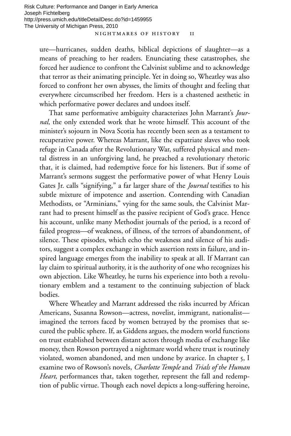ure—hurricanes, sudden deaths, biblical depictions of slaughter—as a means of preaching to her readers. Enunciating these catastrophes, she forced her audience to confront the Calvinist sublime and to acknowledge that terror as their animating principle. Yet in doing so, Wheatley was also forced to confront her own abysses, the limits of thought and feeling that everywhere circumscribed her freedom. Hers is a chastened aesthetic in which performative power declares and undoes itself.

That same performative ambiguity characterizes John Marrant's *Journal,* the only extended work that he wrote himself. This account of the minister's sojourn in Nova Scotia has recently been seen as a testament to recuperative power. Whereas Marrant, like the expatriate slaves who took refuge in Canada after the Revolutionary War, suffered physical and mental distress in an unforgiving land, he preached a revolutionary rhetoric that, it is claimed, had redemptive force for his listeners. But if some of Marrant's sermons suggest the performative power of what Henry Louis Gates Jr. calls "signifying," a far larger share of the *Journal* testifies to his subtle mixture of impotence and assertion. Contending with Canadian Methodists, or "Arminians," vying for the same souls, the Calvinist Marrant had to present himself as the passive recipient of God's grace. Hence his account, unlike many Methodist journals of the period, is a record of failed progress—of weakness, of illness, of the terrors of abandonment, of silence. These episodes, which echo the weakness and silence of his auditors, suggest a complex exchange in which assertion rests in failure, and inspired language emerges from the inability to speak at all. If Marrant can lay claim to spiritual authority, it is the authority of one who recognizes his own abjection. Like Wheatley, he turns his experience into both a revolutionary emblem and a testament to the continuing subjection of black bodies.

Where Wheatley and Marrant addressed the risks incurred by African Americans, Susanna Rowson—actress, novelist, immigrant, nationalist imagined the terrors faced by women betrayed by the promises that secured the public sphere. If, as Giddens argues, the modern world functions on trust established between distant actors through media of exchange like money, then Rowson portrayed a nightmare world where trust is routinely violated, women abandoned, and men undone by avarice. In chapter 5, I examine two of Rowson's novels, *Charlotte Temple* and *Trials of the Human Heart,* performances that, taken together, represent the fall and redemption of public virtue. Though each novel depicts a long-suffering heroine,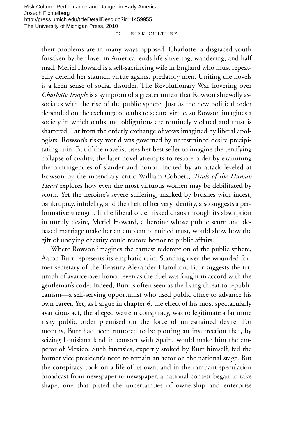their problems are in many ways opposed. Charlotte, a disgraced youth forsaken by her lover in America, ends life shivering, wandering, and half mad. Meriel Howard is a self-sacrificing wife in England who must repeatedly defend her staunch virtue against predatory men. Uniting the novels is a keen sense of social disorder. The Revolutionary War hovering over *Charlotte Temple* is a symptom of a greater unrest that Rowson shrewdly associates with the rise of the public sphere. Just as the new political order depended on the exchange of oaths to secure virtue, so Rowson imagines a society in which oaths and obligations are routinely violated and trust is shattered. Far from the orderly exchange of vows imagined by liberal apologists, Rowson's risky world was governed by unrestrained desire precipitating ruin. But if the novelist uses her best seller to imagine the terrifying collapse of civility, the later novel attempts to restore order by examining the contingencies of slander and honor. Incited by an attack leveled at Rowson by the incendiary critic William Cobbett, *Trials of the Human Heart* explores how even the most virtuous women may be debilitated by scorn. Yet the heroine's severe suffering, marked by brushes with incest, bankruptcy, infidelity, and the theft of her very identity, also suggests a performative strength. If the liberal order risked chaos through its absorption in unruly desire, Meriel Howard, a heroine whose public scorn and debased marriage make her an emblem of ruined trust, would show how the gift of undying chastity could restore honor to public affairs.

Where Rowson imagines the earnest redemption of the public sphere, Aaron Burr represents its emphatic ruin. Standing over the wounded former secretary of the Treasury Alexander Hamilton, Burr suggests the triumph of avarice over honor, even as the duel was fought in accord with the gentleman's code. Indeed, Burr is often seen as the living threat to republicanism—a self-serving opportunist who used public office to advance his own career. Yet, as I argue in chapter 6, the effect of his most spectacularly avaricious act, the alleged western conspiracy, was to legitimate a far more risky public order premised on the force of unrestrained desire. For months, Burr had been rumored to be plotting an insurrection that, by seizing Louisiana land in consort with Spain, would make him the emperor of Mexico. Such fantasies, expertly stoked by Burr himself, fed the former vice president's need to remain an actor on the national stage. But the conspiracy took on a life of its own, and in the rampant speculation broadcast from newspaper to newspaper, a national contest began to take shape, one that pitted the uncertainties of ownership and enterprise